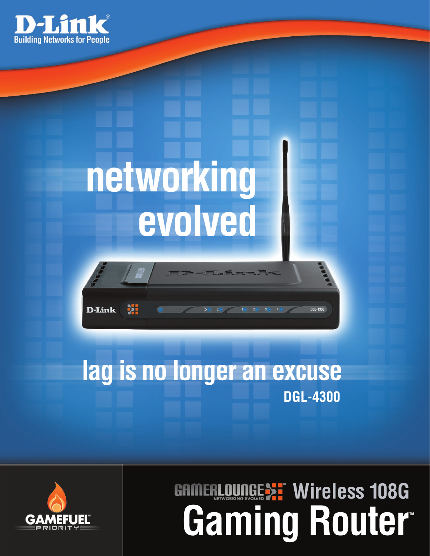

# networking evolved



# lag is no longer an excuse **DGL-4300**



# **Gaming Router TM GAMERLOUNGEST Wireless 108G**